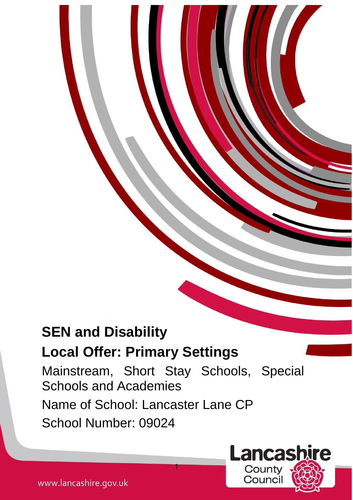# **SEN and Disability**

## **Local Offer: Primary Settings**

Mainstream, Short Stay Schools, Special Schools and Academies Name of School: Lancaster Lane CP School Number: 09024

**Lancashire** 

County Counci

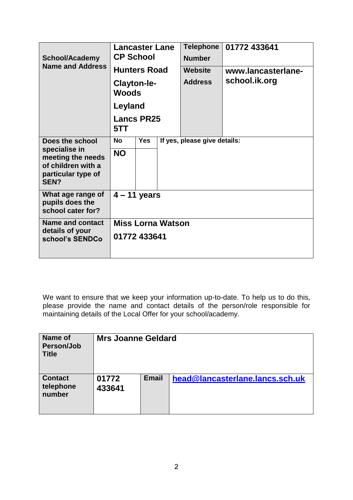| <b>School/Academy</b><br><b>Name and Address</b>                                       | <b>Lancaster Lane</b><br><b>CP School</b><br><b>Hunters Road</b> |            | <b>Telephone</b><br><b>Number</b><br>Website | 01772 433641<br>www.lancasterlane- |               |  |  |
|----------------------------------------------------------------------------------------|------------------------------------------------------------------|------------|----------------------------------------------|------------------------------------|---------------|--|--|
|                                                                                        | Clayton-le-<br><b>Woods</b>                                      |            |                                              | <b>Address</b>                     | school.ik.org |  |  |
|                                                                                        | Leyland                                                          |            |                                              |                                    |               |  |  |
|                                                                                        | <b>Lancs PR25</b><br>5TT                                         |            |                                              |                                    |               |  |  |
| Does the school                                                                        | <b>No</b>                                                        | <b>Yes</b> | If yes, please give details:                 |                                    |               |  |  |
| specialise in<br>meeting the needs<br>of children with a<br>particular type of<br>SFN? | <b>NO</b>                                                        |            |                                              |                                    |               |  |  |
| What age range of<br>pupils does the<br>school cater for?                              | $4 - 11$ years                                                   |            |                                              |                                    |               |  |  |
| <b>Name and contact</b>                                                                | <b>Miss Lorna Watson</b>                                         |            |                                              |                                    |               |  |  |
| details of your<br>school's SENDCo                                                     | 01772 433641                                                     |            |                                              |                                    |               |  |  |

We want to ensure that we keep your information up-to-date. To help us to do this, please provide the name and contact details of the person/role responsible for maintaining details of the Local Offer for your school/academy.

| <b>Name of</b><br>Person/Job<br><b>Title</b> | <b>Mrs Joanne Geldard</b> |              |                                 |  |
|----------------------------------------------|---------------------------|--------------|---------------------------------|--|
| <b>Contact</b><br>telephone<br>number        | 01772<br>433641           | <b>Email</b> | head@lancasterlane.lancs.sch.uk |  |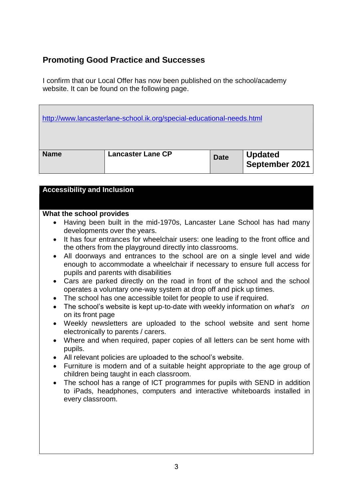### **Promoting Good Practice and Successes**

I confirm that our Local Offer has now been published on the school/academy website. It can be found on the following page.

|             | http://www.lancasterlane-school.ik.org/special-educational-needs.html |             |                           |
|-------------|-----------------------------------------------------------------------|-------------|---------------------------|
| <b>Name</b> | <b>Lancaster Lane CP</b>                                              | <b>Date</b> | Updated<br>September 2021 |

| <b>Accessibility and Inclusion</b>                                                                                                                                                             |
|------------------------------------------------------------------------------------------------------------------------------------------------------------------------------------------------|
|                                                                                                                                                                                                |
| What the school provides                                                                                                                                                                       |
| Having been built in the mid-1970s, Lancaster Lane School has had many<br>$\bullet$<br>developments over the years.                                                                            |
| • It has four entrances for wheelchair users: one leading to the front office and<br>the others from the playground directly into classrooms.                                                  |
| • All doorways and entrances to the school are on a single level and wide<br>enough to accommodate a wheelchair if necessary to ensure full access for<br>pupils and parents with disabilities |
| • Cars are parked directly on the road in front of the school and the school<br>operates a voluntary one-way system at drop off and pick up times.                                             |
| • The school has one accessible toilet for people to use if required.                                                                                                                          |
| The school's website is kept up-to-date with weekly information on what's<br>nn.<br>$\bullet$                                                                                                  |

- The school's website is kept up-to-date with weekly information on *what's on* on its front page
- Weekly newsletters are uploaded to the school website and sent home electronically to parents / carers.
- Where and when required, paper copies of all letters can be sent home with pupils.
- All relevant policies are uploaded to the school's website.
- Furniture is modern and of a suitable height appropriate to the age group of children being taught in each classroom.
- The school has a range of ICT programmes for pupils with SEND in addition to iPads, headphones, computers and interactive whiteboards installed in every classroom.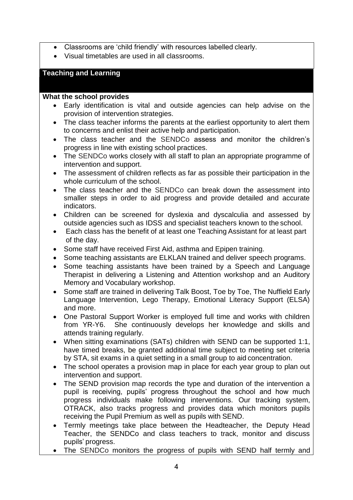- Classrooms are 'child friendly' with resources labelled clearly.
- Visual timetables are used in all classrooms.

#### **Teaching and Learning**

- Early identification is vital and outside agencies can help advise on the provision of intervention strategies.
- The class teacher informs the parents at the earliest opportunity to alert them to concerns and enlist their active help and participation.
- The class teacher and the SENDCo assess and monitor the children's progress in line with existing school practices.
- The SENDCo works closely with all staff to plan an appropriate programme of intervention and support.
- The assessment of children reflects as far as possible their participation in the whole curriculum of the school.
- The class teacher and the SENDCo can break down the assessment into smaller steps in order to aid progress and provide detailed and accurate indicators.
- Children can be screened for dyslexia and dyscalculia and assessed by outside agencies such as IDSS and specialist teachers known to the school.
- Each class has the benefit of at least one Teaching Assistant for at least part of the day.
- Some staff have received First Aid, asthma and Epipen training.
- Some teaching assistants are ELKLAN trained and deliver speech programs.
- Some teaching assistants have been trained by a Speech and Language Therapist in delivering a Listening and Attention workshop and an Auditory Memory and Vocabulary workshop.
- Some staff are trained in delivering Talk Boost, Toe by Toe, The Nuffield Early Language Intervention, Lego Therapy, Emotional Literacy Support (ELSA) and more.
- One Pastoral Support Worker is employed full time and works with children from YR-Y6. She continuously develops her knowledge and skills and attends training regularly.
- When sitting examinations (SATs) children with SEND can be supported 1:1, have timed breaks, be granted additional time subject to meeting set criteria by STA, sit exams in a quiet setting in a small group to aid concentration.
- The school operates a provision map in place for each vear group to plan out intervention and support.
- The SEND provision map records the type and duration of the intervention a pupil is receiving, pupils' progress throughout the school and how much progress individuals make following interventions. Our tracking system, OTRACK, also tracks progress and provides data which monitors pupils receiving the Pupil Premium as well as pupils with SEND.
- Termly meetings take place between the Headteacher, the Deputy Head Teacher, the SENDCo and class teachers to track, monitor and discuss pupils' progress.
- The SENDCo monitors the progress of pupils with SEND half termly and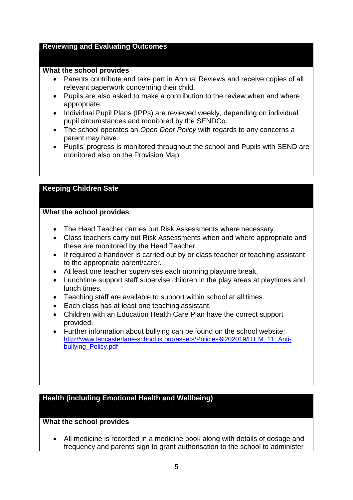#### **Reviewing and Evaluating Outcomes**

#### **What the school provides**

- Parents contribute and take part in Annual Reviews and receive copies of all relevant paperwork concerning their child.
- Pupils are also asked to make a contribution to the review when and where appropriate.
- Individual Pupil Plans (IPPs) are reviewed weekly, depending on individual pupil circumstances and monitored by the SENDCo.
- The school operates an *Open Door Policy* with regards to any concerns a parent may have.
- Pupils' progress is monitored throughout the school and Pupils with SEND are monitored also on the Provision Map.

#### **Keeping Children Safe**

#### **What the school provides**

- The Head Teacher carries out Risk Assessments where necessary.
- Class teachers carry out Risk Assessments when and where appropriate and these are monitored by the Head Teacher.
- If required a handover is carried out by or class teacher or teaching assistant to the appropriate parent/carer.
- At least one teacher supervises each morning playtime break.
- Lunchtime support staff supervise children in the play areas at playtimes and lunch times.
- Teaching staff are available to support within school at all times.
- Each class has at least one teaching assistant.
- Children with an Education Health Care Plan have the correct support provided.
- Further information about bullying can be found on the school website: [http://www.lancasterlane-school.ik.org/assets/Policies%202019/ITEM\\_11\\_Anti](http://www.lancasterlane-school.ik.org/assets/Policies%202019/ITEM_11_Anti-bullying_Policy.pdf)[bullying\\_Policy.pdf](http://www.lancasterlane-school.ik.org/assets/Policies%202019/ITEM_11_Anti-bullying_Policy.pdf)

#### **Health (including Emotional Health and Wellbeing)**

#### **What the school provides**

 All medicine is recorded in a medicine book along with details of dosage and frequency and parents sign to grant authorisation to the school to administer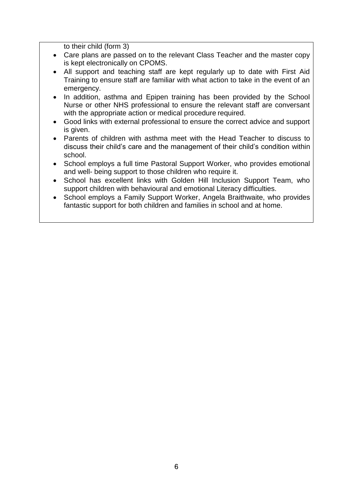to their child (form 3)

- Care plans are passed on to the relevant Class Teacher and the master copy is kept electronically on CPOMS.
- All support and teaching staff are kept regularly up to date with First Aid Training to ensure staff are familiar with what action to take in the event of an emergency.
- In addition, asthma and Epipen training has been provided by the School Nurse or other NHS professional to ensure the relevant staff are conversant with the appropriate action or medical procedure required.
- Good links with external professional to ensure the correct advice and support is given.
- Parents of children with asthma meet with the Head Teacher to discuss to discuss their child's care and the management of their child's condition within school.
- School employs a full time Pastoral Support Worker, who provides emotional and well- being support to those children who require it.
- School has excellent links with Golden Hill Inclusion Support Team, who support children with behavioural and emotional Literacy difficulties.
- School employs a Family Support Worker, Angela Braithwaite, who provides fantastic support for both children and families in school and at home.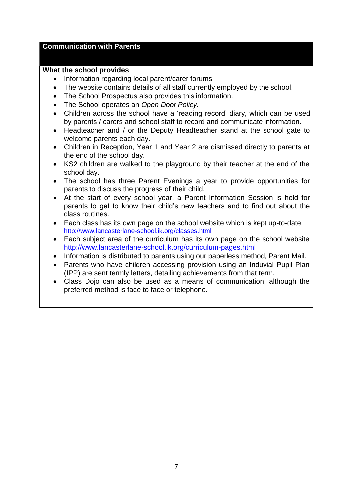#### **Communication with Parents**

- Information regarding local parent/carer forums
- The website contains details of all staff currently employed by the school.
- The School Prospectus also provides this information.
- The School operates an *Open Door Policy.*
- Children across the school have a 'reading record' diary, which can be used by parents / carers and school staff to record and communicate information.
- Headteacher and / or the Deputy Headteacher stand at the school gate to welcome parents each day.
- Children in Reception, Year 1 and Year 2 are dismissed directly to parents at the end of the school day.
- KS2 children are walked to the playground by their teacher at the end of the school day.
- The school has three Parent Evenings a year to provide opportunities for parents to discuss the progress of their child.
- At the start of every school year, a Parent Information Session is held for parents to get to know their child's new teachers and to find out about the class routines.
- Each class has its own page on the school website which is kept up-to-date. <http://www.lancasterlane-school.ik.org/classes.html>
- Each subject area of the curriculum has its own page on the school website <http://www.lancasterlane-school.ik.org/curriculum-pages.html>
- Information is distributed to parents using our paperless method, Parent Mail.
- Parents who have children accessing provision using an Induvial Pupil Plan (IPP) are sent termly letters, detailing achievements from that term.
- Class Dojo can also be used as a means of communication, although the preferred method is face to face or telephone.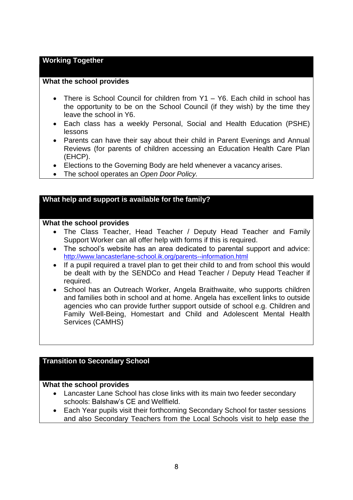#### **Working Together**

#### **What the school provides**

- There is School Council for children from Y1 Y6. Each child in school has the opportunity to be on the School Council (if they wish) by the time they leave the school in Y6.
- Each class has a weekly Personal, Social and Health Education (PSHE) lessons
- Parents can have their say about their child in Parent Evenings and Annual Reviews (for parents of children accessing an Education Health Care Plan (EHCP).
- Elections to the Governing Body are held whenever a vacancy arises.
- The school operates an *Open Door Policy.*

#### **What help and support is available for the family?**

#### **What the school provides**

- The Class Teacher, Head Teacher / Deputy Head Teacher and Family Support Worker can all offer help with forms if this is required.
- The school's website has an area dedicated to parental support and advice: <http://www.lancasterlane-school.ik.org/parents--information.html>
- If a pupil required a travel plan to get their child to and from school this would be dealt with by the SENDCo and Head Teacher / Deputy Head Teacher if required.
- School has an Outreach Worker, Angela Braithwaite, who supports children and families both in school and at home. Angela has excellent links to outside agencies who can provide further support outside of school e.g. Children and Family Well-Being, Homestart and Child and Adolescent Mental Health Services (CAMHS)

#### **Transition to Secondary School**

- Lancaster Lane School has close links with its main two feeder secondary schools: Balshaw's CE and Wellfield.
- Each Year pupils visit their forthcoming Secondary School for taster sessions and also Secondary Teachers from the Local Schools visit to help ease the